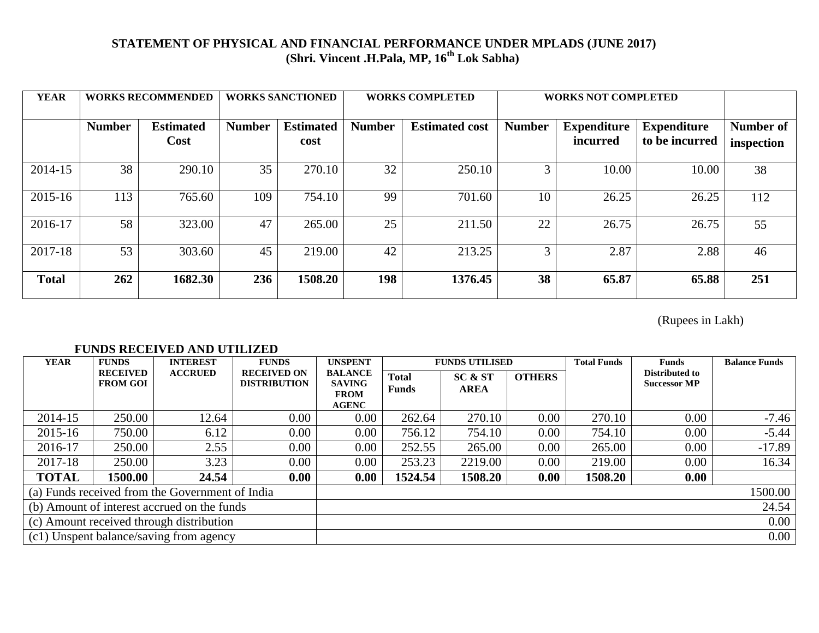## **STATEMENT OF PHYSICAL AND FINANCIAL PERFORMANCE UNDER MPLADS (JUNE 2017) (Shri. Vincent .H.Pala, MP, 16 th Lok Sabha)**

| <b>YEAR</b>  | <b>WORKS RECOMMENDED</b> |                          | <b>WORKS SANCTIONED</b> |                          | <b>WORKS COMPLETED</b> |                       | <b>WORKS NOT COMPLETED</b> |                                |                                      |                         |
|--------------|--------------------------|--------------------------|-------------------------|--------------------------|------------------------|-----------------------|----------------------------|--------------------------------|--------------------------------------|-------------------------|
|              | <b>Number</b>            | <b>Estimated</b><br>Cost | <b>Number</b>           | <b>Estimated</b><br>cost | <b>Number</b>          | <b>Estimated cost</b> | <b>Number</b>              | <b>Expenditure</b><br>incurred | <b>Expenditure</b><br>to be incurred | Number of<br>inspection |
| 2014-15      | 38                       | 290.10                   | 35                      | 270.10                   | 32                     | 250.10                | 3                          | 10.00                          | 10.00                                | 38                      |
| 2015-16      | 113                      | 765.60                   | 109                     | 754.10                   | 99                     | 701.60                | 10                         | 26.25                          | 26.25                                | 112                     |
| 2016-17      | 58                       | 323.00                   | 47                      | 265.00                   | 25                     | 211.50                | 22                         | 26.75                          | 26.75                                | 55                      |
| 2017-18      | 53                       | 303.60                   | 45                      | 219.00                   | 42                     | 213.25                | 3                          | 2.87                           | 2.88                                 | 46                      |
| <b>Total</b> | 262                      | 1682.30                  | 236                     | 1508.20                  | 198                    | 1376.45               | 38                         | 65.87                          | 65.88                                | 251                     |

(Rupees in Lakh)

## **FUNDS RECEIVED AND UTILIZED**

| <b>YEAR</b>                                     | <b>FUNDS</b>                            | <b>INTEREST</b> | <b>FUNDS</b>                              | <b>UNSPENT</b>                                                 |                              | <b>FUNDS UTILISED</b>  |               | <b>Total Funds</b> | <b>Funds</b>                          | <b>Balance Funds</b> |
|-------------------------------------------------|-----------------------------------------|-----------------|-------------------------------------------|----------------------------------------------------------------|------------------------------|------------------------|---------------|--------------------|---------------------------------------|----------------------|
|                                                 | <b>RECEIVED</b><br><b>FROM GOI</b>      | <b>ACCRUED</b>  | <b>RECEIVED ON</b><br><b>DISTRIBUTION</b> | <b>BALANCE</b><br><b>SAVING</b><br><b>FROM</b><br><b>AGENC</b> | <b>Total</b><br><b>Funds</b> | SC & ST<br><b>AREA</b> | <b>OTHERS</b> |                    | Distributed to<br><b>Successor MP</b> |                      |
| 2014-15                                         | 250.00                                  | 12.64           | 0.00                                      | $0.00\,$                                                       | 262.64                       | 270.10                 | 0.00          | 270.10             | 0.00                                  | $-7.46$              |
| 2015-16                                         | 750.00                                  | 6.12            | 0.00                                      | $0.00\,$                                                       | 756.12                       | 754.10                 | 0.00          | 754.10             | 0.00                                  | $-5.44$              |
| 2016-17                                         | 250.00                                  | 2.55            | 0.00                                      | $0.00\,$                                                       | 252.55                       | 265.00                 | 0.00          | 265.00             | 0.00                                  | $-17.89$             |
| 2017-18                                         | 250.00                                  | 3.23            | 0.00                                      | $0.00\,$                                                       | 253.23                       | 2219.00                | 0.00          | 219.00             | 0.00                                  | 16.34                |
| <b>TOTAL</b>                                    | 1500.00                                 | 24.54           | 0.00                                      | 0.00                                                           | 1524.54                      | 1508.20                | 0.00          | 1508.20            | 0.00                                  |                      |
| (a) Funds received from the Government of India |                                         |                 |                                           |                                                                |                              |                        |               |                    |                                       | 1500.00              |
| (b) Amount of interest accrued on the funds     |                                         |                 |                                           |                                                                |                              |                        |               |                    |                                       | 24.54                |
| (c) Amount received through distribution        |                                         |                 |                                           |                                                                |                              |                        | $0.00\,$      |                    |                                       |                      |
|                                                 | (c1) Unspent balance/saving from agency |                 |                                           |                                                                |                              |                        |               | $0.00\,$           |                                       |                      |